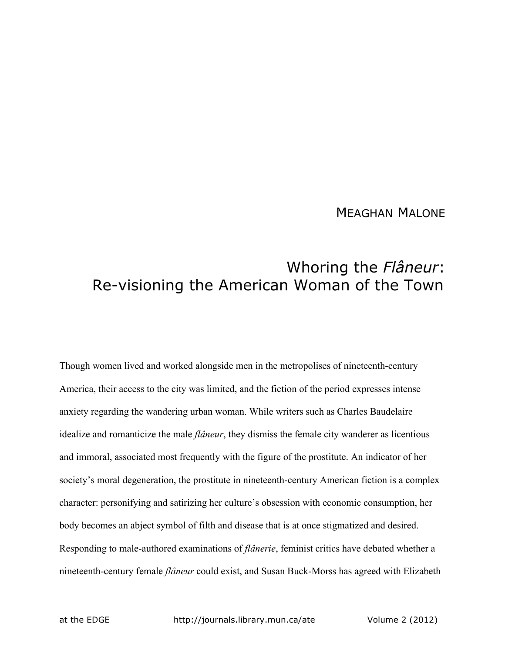## MEAGHAN MALONE

## Whoring the *Flâneur*: Re-visioning the American Woman of the Town

Though women lived and worked alongside men in the metropolises of nineteenth-century America, their access to the city was limited, and the fiction of the period expresses intense anxiety regarding the wandering urban woman. While writers such as Charles Baudelaire idealize and romanticize the male *flâneur*, they dismiss the female city wanderer as licentious and immoral, associated most frequently with the figure of the prostitute. An indicator of her society's moral degeneration, the prostitute in nineteenth-century American fiction is a complex character: personifying and satirizing her culture's obsession with economic consumption, her body becomes an abject symbol of filth and disease that is at once stigmatized and desired. Responding to male-authored examinations of *flânerie*, feminist critics have debated whether a nineteenth-century female *flâneur* could exist, and Susan Buck-Morss has agreed with Elizabeth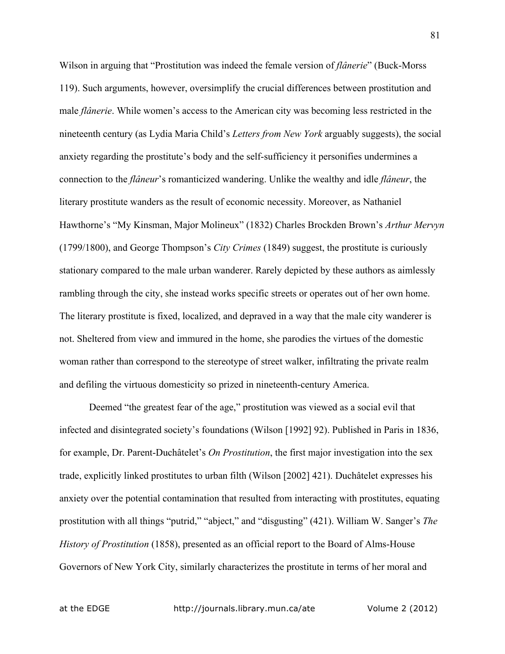Wilson in arguing that "Prostitution was indeed the female version of *flânerie*" (Buck-Morss 119). Such arguments, however, oversimplify the crucial differences between prostitution and male *flânerie*. While women's access to the American city was becoming less restricted in the nineteenth century (as Lydia Maria Child's *Letters from New York* arguably suggests), the social anxiety regarding the prostitute's body and the self-sufficiency it personifies undermines a connection to the *flâneur*'s romanticized wandering. Unlike the wealthy and idle *flâneur*, the literary prostitute wanders as the result of economic necessity. Moreover, as Nathaniel Hawthorne's "My Kinsman, Major Molineux" (1832) Charles Brockden Brown's *Arthur Mervyn* (1799/1800), and George Thompson's *City Crimes* (1849) suggest, the prostitute is curiously stationary compared to the male urban wanderer. Rarely depicted by these authors as aimlessly rambling through the city, she instead works specific streets or operates out of her own home. The literary prostitute is fixed, localized, and depraved in a way that the male city wanderer is not. Sheltered from view and immured in the home, she parodies the virtues of the domestic woman rather than correspond to the stereotype of street walker, infiltrating the private realm and defiling the virtuous domesticity so prized in nineteenth-century America.

Deemed "the greatest fear of the age," prostitution was viewed as a social evil that infected and disintegrated society's foundations (Wilson [1992] 92). Published in Paris in 1836, for example, Dr. Parent-Duchâtelet's *On Prostitution*, the first major investigation into the sex trade, explicitly linked prostitutes to urban filth (Wilson [2002] 421). Duchâtelet expresses his anxiety over the potential contamination that resulted from interacting with prostitutes, equating prostitution with all things "putrid," "abject," and "disgusting" (421). William W. Sanger's *The History of Prostitution* (1858), presented as an official report to the Board of Alms-House Governors of New York City, similarly characterizes the prostitute in terms of her moral and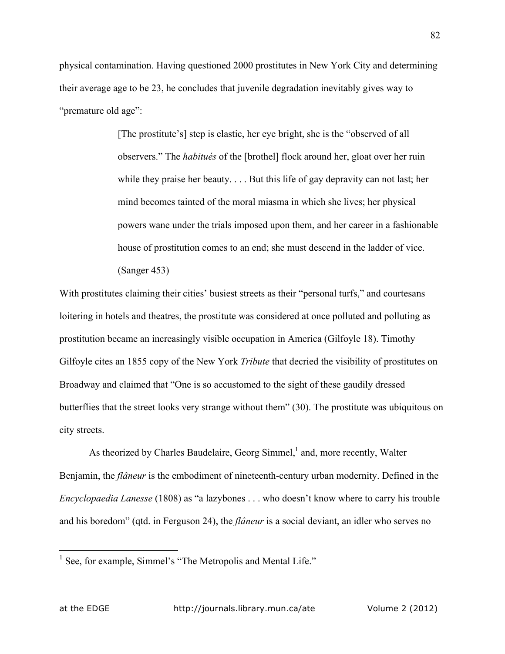physical contamination. Having questioned 2000 prostitutes in New York City and determining their average age to be 23, he concludes that juvenile degradation inevitably gives way to "premature old age":

> [The prostitute's] step is elastic, her eye bright, she is the "observed of all observers." The *habitués* of the [brothel] flock around her, gloat over her ruin while they praise her beauty. . . . But this life of gay depravity can not last; her mind becomes tainted of the moral miasma in which she lives; her physical powers wane under the trials imposed upon them, and her career in a fashionable house of prostitution comes to an end; she must descend in the ladder of vice. (Sanger 453)

With prostitutes claiming their cities' busiest streets as their "personal turfs," and courtesans loitering in hotels and theatres, the prostitute was considered at once polluted and polluting as prostitution became an increasingly visible occupation in America (Gilfoyle 18). Timothy Gilfoyle cites an 1855 copy of the New York *Tribute* that decried the visibility of prostitutes on Broadway and claimed that "One is so accustomed to the sight of these gaudily dressed butterflies that the street looks very strange without them" (30). The prostitute was ubiquitous on city streets.

As theorized by Charles Baudelaire, Georg Simmel, $<sup>1</sup>$  and, more recently, Walter</sup> Benjamin, the *flâneur* is the embodiment of nineteenth-century urban modernity. Defined in the *Encyclopaedia Lanesse* (1808) as "a lazybones . . . who doesn't know where to carry his trouble and his boredom" (qtd. in Ferguson 24), the *flâneur* is a social deviant, an idler who serves no

<sup>&</sup>lt;sup>1</sup> See, for example, Simmel's "The Metropolis and Mental Life."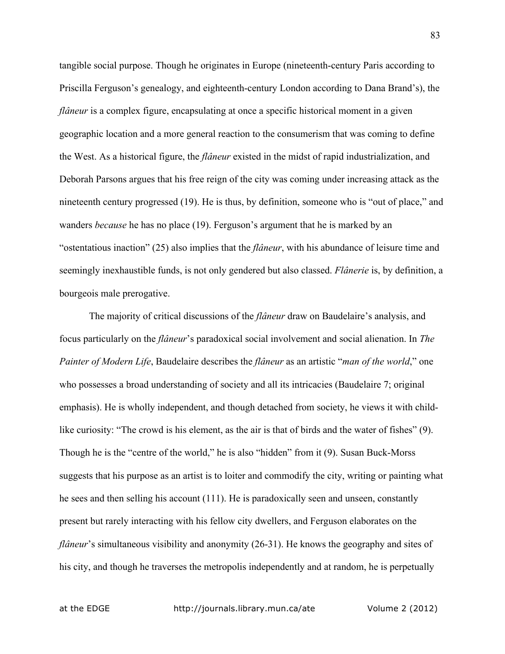tangible social purpose. Though he originates in Europe (nineteenth-century Paris according to Priscilla Ferguson's genealogy, and eighteenth-century London according to Dana Brand's), the *flâneur* is a complex figure, encapsulating at once a specific historical moment in a given geographic location and a more general reaction to the consumerism that was coming to define the West. As a historical figure, the *flâneur* existed in the midst of rapid industrialization, and Deborah Parsons argues that his free reign of the city was coming under increasing attack as the nineteenth century progressed (19). He is thus, by definition, someone who is "out of place," and wanders *because* he has no place (19). Ferguson's argument that he is marked by an "ostentatious inaction" (25) also implies that the *flâneur*, with his abundance of leisure time and seemingly inexhaustible funds, is not only gendered but also classed. *Flânerie* is, by definition, a bourgeois male prerogative.

The majority of critical discussions of the *flâneur* draw on Baudelaire's analysis, and focus particularly on the *flâneur*'s paradoxical social involvement and social alienation. In *The Painter of Modern Life*, Baudelaire describes the *flâneur* as an artistic "*man of the world*," one who possesses a broad understanding of society and all its intricacies (Baudelaire 7; original emphasis). He is wholly independent, and though detached from society, he views it with childlike curiosity: "The crowd is his element, as the air is that of birds and the water of fishes" (9). Though he is the "centre of the world," he is also "hidden" from it (9). Susan Buck-Morss suggests that his purpose as an artist is to loiter and commodify the city, writing or painting what he sees and then selling his account (111). He is paradoxically seen and unseen, constantly present but rarely interacting with his fellow city dwellers, and Ferguson elaborates on the *flâneur*'s simultaneous visibility and anonymity (26-31). He knows the geography and sites of his city, and though he traverses the metropolis independently and at random, he is perpetually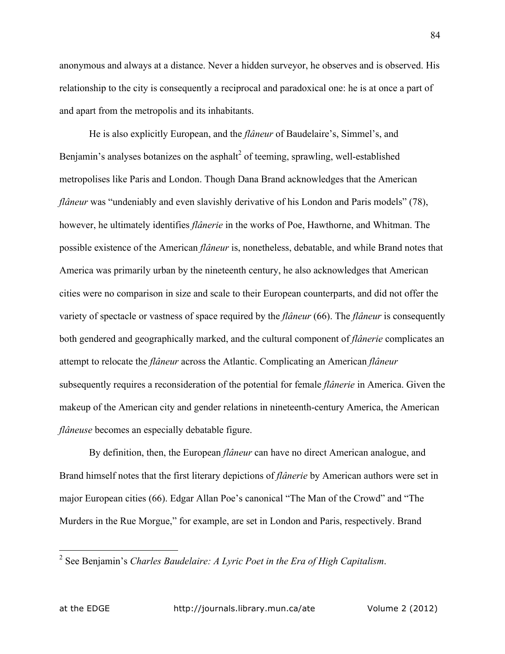anonymous and always at a distance. Never a hidden surveyor, he observes and is observed. His relationship to the city is consequently a reciprocal and paradoxical one: he is at once a part of and apart from the metropolis and its inhabitants.

He is also explicitly European, and the *flâneur* of Baudelaire's, Simmel's, and Benjamin's analyses botanizes on the asphalt $\epsilon$  of teeming, sprawling, well-established metropolises like Paris and London. Though Dana Brand acknowledges that the American *flâneur* was "undeniably and even slavishly derivative of his London and Paris models" (78), however, he ultimately identifies *flânerie* in the works of Poe, Hawthorne, and Whitman. The possible existence of the American *flâneur* is, nonetheless, debatable, and while Brand notes that America was primarily urban by the nineteenth century, he also acknowledges that American cities were no comparison in size and scale to their European counterparts, and did not offer the variety of spectacle or vastness of space required by the *flâneur* (66). The *flâneur* is consequently both gendered and geographically marked, and the cultural component of *flânerie* complicates an attempt to relocate the *flâneur* across the Atlantic. Complicating an American *flâneur* subsequently requires a reconsideration of the potential for female *flânerie* in America. Given the makeup of the American city and gender relations in nineteenth-century America, the American *flâneuse* becomes an especially debatable figure.

By definition, then, the European *flâneur* can have no direct American analogue, and Brand himself notes that the first literary depictions of *flânerie* by American authors were set in major European cities (66). Edgar Allan Poe's canonical "The Man of the Crowd" and "The Murders in the Rue Morgue," for example, are set in London and Paris, respectively. Brand

 <sup>2</sup> See Benjamin's *Charles Baudelaire: A Lyric Poet in the Era of High Capitalism*.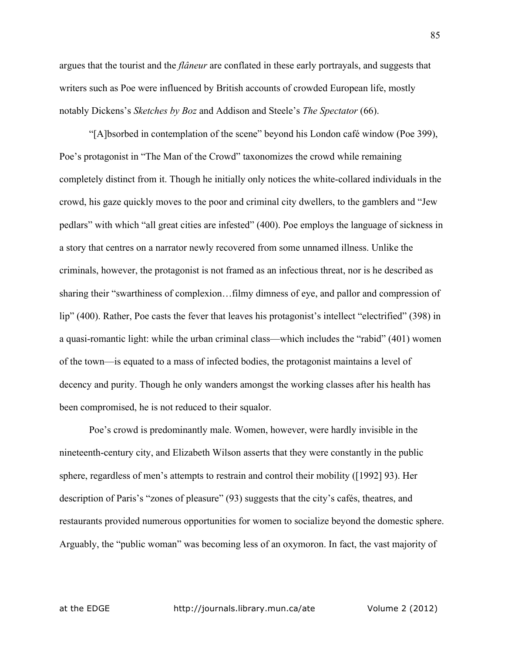argues that the tourist and the *flâneur* are conflated in these early portrayals, and suggests that writers such as Poe were influenced by British accounts of crowded European life, mostly notably Dickens's *Sketches by Boz* and Addison and Steele's *The Spectator* (66).

"[A]bsorbed in contemplation of the scene" beyond his London café window (Poe 399), Poe's protagonist in "The Man of the Crowd" taxonomizes the crowd while remaining completely distinct from it. Though he initially only notices the white-collared individuals in the crowd, his gaze quickly moves to the poor and criminal city dwellers, to the gamblers and "Jew pedlars" with which "all great cities are infested" (400). Poe employs the language of sickness in a story that centres on a narrator newly recovered from some unnamed illness. Unlike the criminals, however, the protagonist is not framed as an infectious threat, nor is he described as sharing their "swarthiness of complexion…filmy dimness of eye, and pallor and compression of lip" (400). Rather, Poe casts the fever that leaves his protagonist's intellect "electrified" (398) in a quasi-romantic light: while the urban criminal class—which includes the "rabid" (401) women of the town—is equated to a mass of infected bodies, the protagonist maintains a level of decency and purity. Though he only wanders amongst the working classes after his health has been compromised, he is not reduced to their squalor.

Poe's crowd is predominantly male. Women, however, were hardly invisible in the nineteenth-century city, and Elizabeth Wilson asserts that they were constantly in the public sphere, regardless of men's attempts to restrain and control their mobility ([1992] 93). Her description of Paris's "zones of pleasure" (93) suggests that the city's cafés, theatres, and restaurants provided numerous opportunities for women to socialize beyond the domestic sphere. Arguably, the "public woman" was becoming less of an oxymoron. In fact, the vast majority of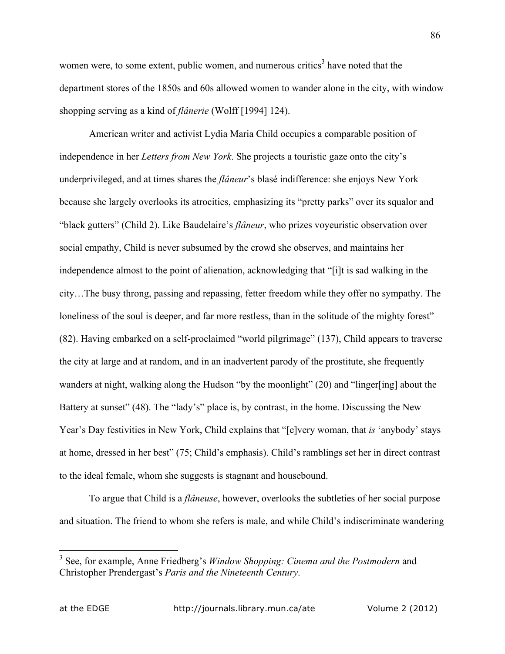women were, to some extent, public women, and numerous critics<sup>3</sup> have noted that the department stores of the 1850s and 60s allowed women to wander alone in the city, with window shopping serving as a kind of *flânerie* (Wolff [1994] 124).

American writer and activist Lydia Maria Child occupies a comparable position of independence in her *Letters from New York*. She projects a touristic gaze onto the city's underprivileged, and at times shares the *flâneur*'s blasé indifference: she enjoys New York because she largely overlooks its atrocities, emphasizing its "pretty parks" over its squalor and "black gutters" (Child 2). Like Baudelaire's *flâneur*, who prizes voyeuristic observation over social empathy, Child is never subsumed by the crowd she observes, and maintains her independence almost to the point of alienation, acknowledging that "[i]t is sad walking in the city…The busy throng, passing and repassing, fetter freedom while they offer no sympathy. The loneliness of the soul is deeper, and far more restless, than in the solitude of the mighty forest" (82). Having embarked on a self-proclaimed "world pilgrimage" (137), Child appears to traverse the city at large and at random, and in an inadvertent parody of the prostitute, she frequently wanders at night, walking along the Hudson "by the moonlight" (20) and "linger[ing] about the Battery at sunset" (48). The "lady's" place is, by contrast, in the home. Discussing the New Year's Day festivities in New York, Child explains that "[e]very woman, that *is* 'anybody' stays at home, dressed in her best" (75; Child's emphasis). Child's ramblings set her in direct contrast to the ideal female, whom she suggests is stagnant and housebound.

To argue that Child is a *flâneuse*, however, overlooks the subtleties of her social purpose and situation. The friend to whom she refers is male, and while Child's indiscriminate wandering

 <sup>3</sup> See, for example, Anne Friedberg's *Window Shopping: Cinema and the Postmodern* and Christopher Prendergast's *Paris and the Nineteenth Century*.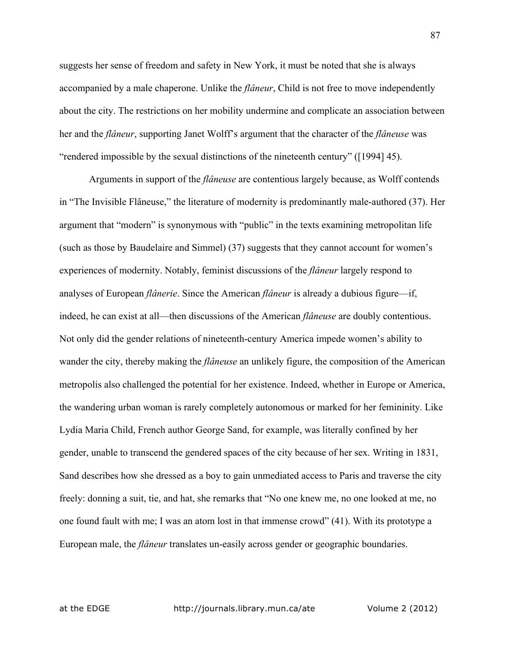suggests her sense of freedom and safety in New York, it must be noted that she is always accompanied by a male chaperone. Unlike the *flâneur*, Child is not free to move independently about the city. The restrictions on her mobility undermine and complicate an association between her and the *flâneur*, supporting Janet Wolff's argument that the character of the *flâneuse* was "rendered impossible by the sexual distinctions of the nineteenth century" ([1994] 45).

Arguments in support of the *flâneuse* are contentious largely because, as Wolff contends in "The Invisible Flâneuse," the literature of modernity is predominantly male-authored (37). Her argument that "modern" is synonymous with "public" in the texts examining metropolitan life (such as those by Baudelaire and Simmel) (37) suggests that they cannot account for women's experiences of modernity. Notably, feminist discussions of the *flâneur* largely respond to analyses of European *flânerie*. Since the American *flâneur* is already a dubious figure—if, indeed, he can exist at all—then discussions of the American *flâneuse* are doubly contentious. Not only did the gender relations of nineteenth-century America impede women's ability to wander the city, thereby making the *flâneuse* an unlikely figure, the composition of the American metropolis also challenged the potential for her existence. Indeed, whether in Europe or America, the wandering urban woman is rarely completely autonomous or marked for her femininity. Like Lydia Maria Child, French author George Sand, for example, was literally confined by her gender, unable to transcend the gendered spaces of the city because of her sex. Writing in 1831, Sand describes how she dressed as a boy to gain unmediated access to Paris and traverse the city freely: donning a suit, tie, and hat, she remarks that "No one knew me, no one looked at me, no one found fault with me; I was an atom lost in that immense crowd" (41). With its prototype a European male, the *flâneur* translates un-easily across gender or geographic boundaries.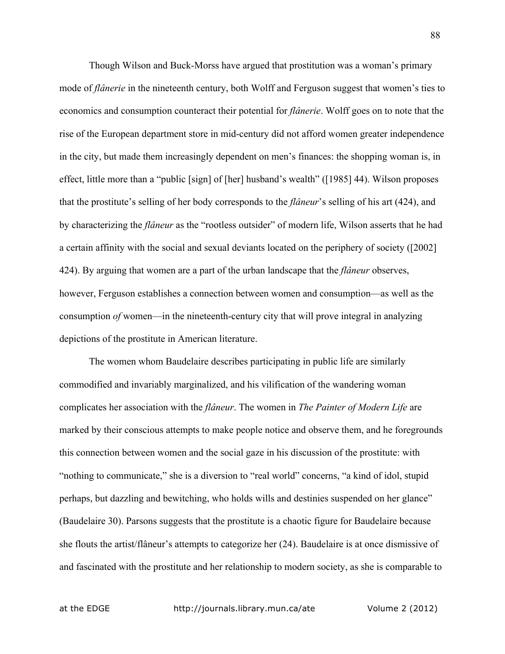Though Wilson and Buck-Morss have argued that prostitution was a woman's primary mode of *flânerie* in the nineteenth century, both Wolff and Ferguson suggest that women's ties to economics and consumption counteract their potential for *flânerie*. Wolff goes on to note that the rise of the European department store in mid-century did not afford women greater independence in the city, but made them increasingly dependent on men's finances: the shopping woman is, in effect, little more than a "public [sign] of [her] husband's wealth" ([1985] 44). Wilson proposes that the prostitute's selling of her body corresponds to the *flâneur*'s selling of his art (424), and by characterizing the *flâneur* as the "rootless outsider" of modern life, Wilson asserts that he had a certain affinity with the social and sexual deviants located on the periphery of society ([2002] 424). By arguing that women are a part of the urban landscape that the *flâneur* observes, however, Ferguson establishes a connection between women and consumption—as well as the consumption *of* women—in the nineteenth-century city that will prove integral in analyzing depictions of the prostitute in American literature.

The women whom Baudelaire describes participating in public life are similarly commodified and invariably marginalized, and his vilification of the wandering woman complicates her association with the *flâneur*. The women in *The Painter of Modern Life* are marked by their conscious attempts to make people notice and observe them, and he foregrounds this connection between women and the social gaze in his discussion of the prostitute: with "nothing to communicate," she is a diversion to "real world" concerns, "a kind of idol, stupid perhaps, but dazzling and bewitching, who holds wills and destinies suspended on her glance" (Baudelaire 30). Parsons suggests that the prostitute is a chaotic figure for Baudelaire because she flouts the artist/flâneur's attempts to categorize her (24). Baudelaire is at once dismissive of and fascinated with the prostitute and her relationship to modern society, as she is comparable to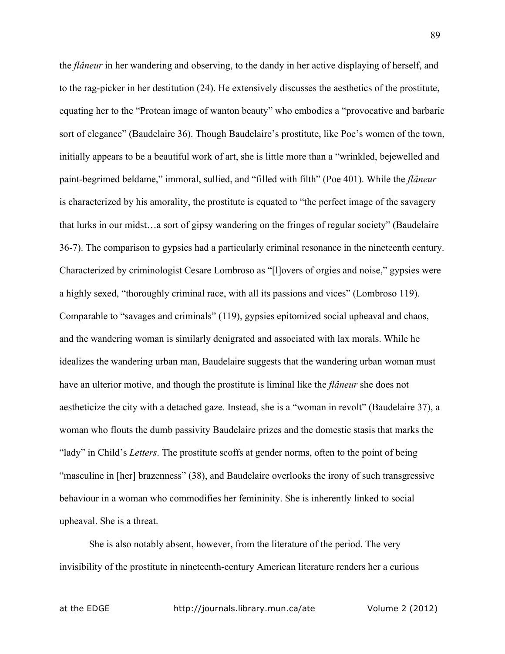the *flâneur* in her wandering and observing, to the dandy in her active displaying of herself, and to the rag-picker in her destitution (24). He extensively discusses the aesthetics of the prostitute, equating her to the "Protean image of wanton beauty" who embodies a "provocative and barbaric sort of elegance" (Baudelaire 36). Though Baudelaire's prostitute, like Poe's women of the town, initially appears to be a beautiful work of art, she is little more than a "wrinkled, bejewelled and paint-begrimed beldame," immoral, sullied, and "filled with filth" (Poe 401). While the *flâneur* is characterized by his amorality, the prostitute is equated to "the perfect image of the savagery that lurks in our midst…a sort of gipsy wandering on the fringes of regular society" (Baudelaire 36-7). The comparison to gypsies had a particularly criminal resonance in the nineteenth century. Characterized by criminologist Cesare Lombroso as "[l]overs of orgies and noise," gypsies were a highly sexed, "thoroughly criminal race, with all its passions and vices" (Lombroso 119). Comparable to "savages and criminals" (119), gypsies epitomized social upheaval and chaos, and the wandering woman is similarly denigrated and associated with lax morals. While he idealizes the wandering urban man, Baudelaire suggests that the wandering urban woman must have an ulterior motive, and though the prostitute is liminal like the *flâneur* she does not aestheticize the city with a detached gaze. Instead, she is a "woman in revolt" (Baudelaire 37), a woman who flouts the dumb passivity Baudelaire prizes and the domestic stasis that marks the "lady" in Child's *Letters*. The prostitute scoffs at gender norms, often to the point of being "masculine in [her] brazenness" (38), and Baudelaire overlooks the irony of such transgressive behaviour in a woman who commodifies her femininity. She is inherently linked to social upheaval. She is a threat.

She is also notably absent, however, from the literature of the period. The very invisibility of the prostitute in nineteenth-century American literature renders her a curious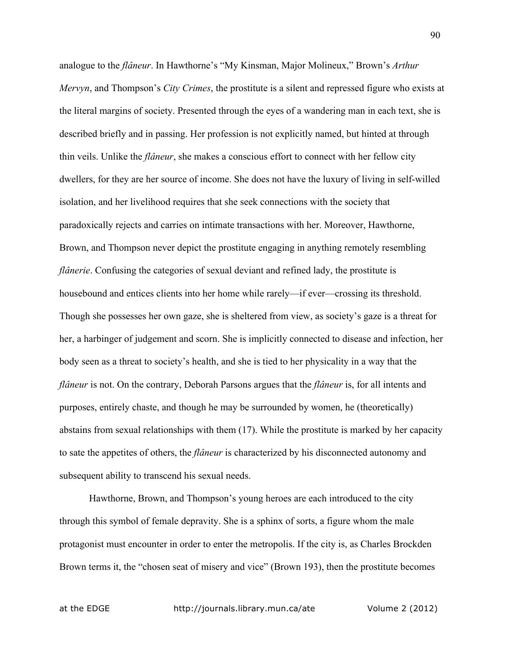analogue to the *flâneur*. In Hawthorne's "My Kinsman, Major Molineux," Brown's *Arthur Mervyn*, and Thompson's *City Crimes*, the prostitute is a silent and repressed figure who exists at the literal margins of society. Presented through the eyes of a wandering man in each text, she is described briefly and in passing. Her profession is not explicitly named, but hinted at through thin veils. Unlike the *flâneur*, she makes a conscious effort to connect with her fellow city dwellers, for they are her source of income. She does not have the luxury of living in self-willed isolation, and her livelihood requires that she seek connections with the society that paradoxically rejects and carries on intimate transactions with her. Moreover, Hawthorne, Brown, and Thompson never depict the prostitute engaging in anything remotely resembling *flânerie*. Confusing the categories of sexual deviant and refined lady, the prostitute is housebound and entices clients into her home while rarely—if ever—crossing its threshold. Though she possesses her own gaze, she is sheltered from view, as society's gaze is a threat for her, a harbinger of judgement and scorn. She is implicitly connected to disease and infection, her body seen as a threat to society's health, and she is tied to her physicality in a way that the *flâneur* is not. On the contrary, Deborah Parsons argues that the *flâneur* is, for all intents and purposes, entirely chaste, and though he may be surrounded by women, he (theoretically) abstains from sexual relationships with them (17). While the prostitute is marked by her capacity to sate the appetites of others, the *flâneur* is characterized by his disconnected autonomy and subsequent ability to transcend his sexual needs.

Hawthorne, Brown, and Thompson's young heroes are each introduced to the city through this symbol of female depravity. She is a sphinx of sorts, a figure whom the male protagonist must encounter in order to enter the metropolis. If the city is, as Charles Brockden Brown terms it, the "chosen seat of misery and vice" (Brown 193), then the prostitute becomes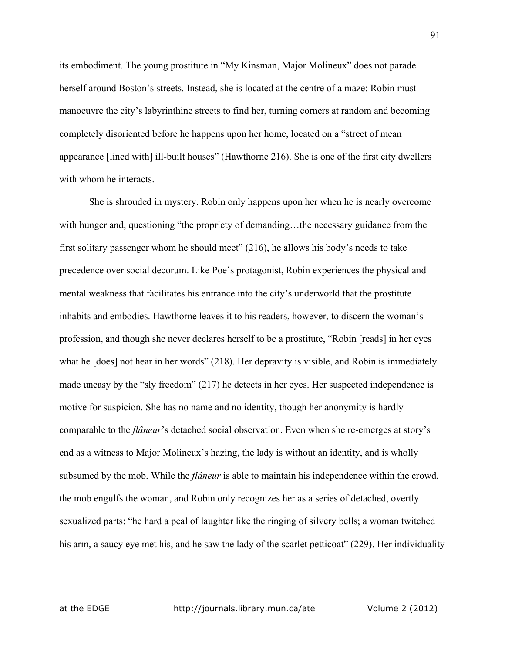its embodiment. The young prostitute in "My Kinsman, Major Molineux" does not parade herself around Boston's streets. Instead, she is located at the centre of a maze: Robin must manoeuvre the city's labyrinthine streets to find her, turning corners at random and becoming completely disoriented before he happens upon her home, located on a "street of mean appearance [lined with] ill-built houses" (Hawthorne 216). She is one of the first city dwellers with whom he interacts.

She is shrouded in mystery. Robin only happens upon her when he is nearly overcome with hunger and, questioning "the propriety of demanding...the necessary guidance from the first solitary passenger whom he should meet" (216), he allows his body's needs to take precedence over social decorum. Like Poe's protagonist, Robin experiences the physical and mental weakness that facilitates his entrance into the city's underworld that the prostitute inhabits and embodies. Hawthorne leaves it to his readers, however, to discern the woman's profession, and though she never declares herself to be a prostitute, "Robin [reads] in her eyes what he [does] not hear in her words" (218). Her depravity is visible, and Robin is immediately made uneasy by the "sly freedom" (217) he detects in her eyes. Her suspected independence is motive for suspicion. She has no name and no identity, though her anonymity is hardly comparable to the *flâneur*'s detached social observation. Even when she re-emerges at story's end as a witness to Major Molineux's hazing, the lady is without an identity, and is wholly subsumed by the mob. While the *flâneur* is able to maintain his independence within the crowd, the mob engulfs the woman, and Robin only recognizes her as a series of detached, overtly sexualized parts: "he hard a peal of laughter like the ringing of silvery bells; a woman twitched his arm, a saucy eye met his, and he saw the lady of the scarlet petticoat" (229). Her individuality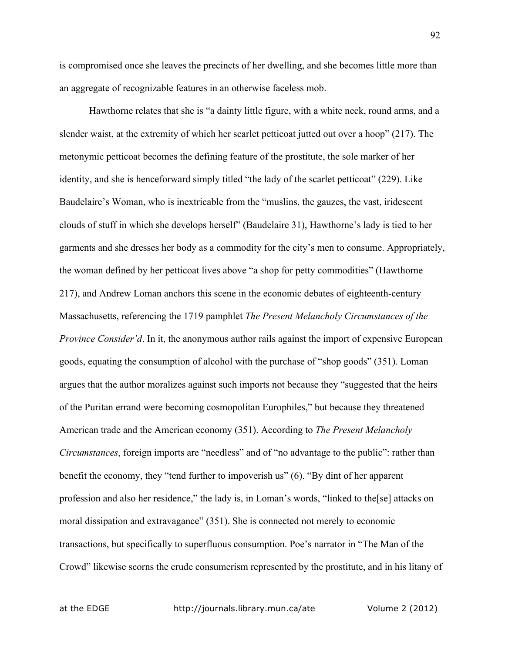is compromised once she leaves the precincts of her dwelling, and she becomes little more than an aggregate of recognizable features in an otherwise faceless mob.

Hawthorne relates that she is "a dainty little figure, with a white neck, round arms, and a slender waist, at the extremity of which her scarlet petticoat jutted out over a hoop" (217). The metonymic petticoat becomes the defining feature of the prostitute, the sole marker of her identity, and she is henceforward simply titled "the lady of the scarlet petticoat" (229). Like Baudelaire's Woman, who is inextricable from the "muslins, the gauzes, the vast, iridescent clouds of stuff in which she develops herself" (Baudelaire 31), Hawthorne's lady is tied to her garments and she dresses her body as a commodity for the city's men to consume. Appropriately, the woman defined by her petticoat lives above "a shop for petty commodities" (Hawthorne 217), and Andrew Loman anchors this scene in the economic debates of eighteenth-century Massachusetts, referencing the 1719 pamphlet *The Present Melancholy Circumstances of the Province Consider'd.* In it, the anonymous author rails against the import of expensive European goods, equating the consumption of alcohol with the purchase of "shop goods" (351). Loman argues that the author moralizes against such imports not because they "suggested that the heirs of the Puritan errand were becoming cosmopolitan Europhiles," but because they threatened American trade and the American economy (351). According to *The Present Melancholy Circumstances*, foreign imports are "needless" and of "no advantage to the public": rather than benefit the economy, they "tend further to impoverish us" (6). "By dint of her apparent profession and also her residence," the lady is, in Loman's words, "linked to the[se] attacks on moral dissipation and extravagance" (351). She is connected not merely to economic transactions, but specifically to superfluous consumption. Poe's narrator in "The Man of the Crowd" likewise scorns the crude consumerism represented by the prostitute, and in his litany of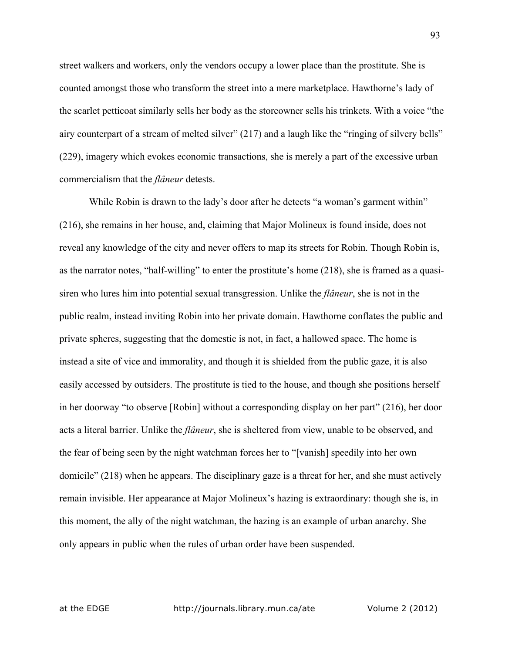street walkers and workers, only the vendors occupy a lower place than the prostitute. She is counted amongst those who transform the street into a mere marketplace. Hawthorne's lady of the scarlet petticoat similarly sells her body as the storeowner sells his trinkets. With a voice "the airy counterpart of a stream of melted silver" (217) and a laugh like the "ringing of silvery bells" (229), imagery which evokes economic transactions, she is merely a part of the excessive urban commercialism that the *flâneur* detests.

While Robin is drawn to the lady's door after he detects "a woman's garment within" (216), she remains in her house, and, claiming that Major Molineux is found inside, does not reveal any knowledge of the city and never offers to map its streets for Robin. Though Robin is, as the narrator notes, "half-willing" to enter the prostitute's home (218), she is framed as a quasisiren who lures him into potential sexual transgression. Unlike the *flâneur*, she is not in the public realm, instead inviting Robin into her private domain. Hawthorne conflates the public and private spheres, suggesting that the domestic is not, in fact, a hallowed space. The home is instead a site of vice and immorality, and though it is shielded from the public gaze, it is also easily accessed by outsiders. The prostitute is tied to the house, and though she positions herself in her doorway "to observe [Robin] without a corresponding display on her part" (216), her door acts a literal barrier. Unlike the *flâneur*, she is sheltered from view, unable to be observed, and the fear of being seen by the night watchman forces her to "[vanish] speedily into her own domicile" (218) when he appears. The disciplinary gaze is a threat for her, and she must actively remain invisible. Her appearance at Major Molineux's hazing is extraordinary: though she is, in this moment, the ally of the night watchman, the hazing is an example of urban anarchy. She only appears in public when the rules of urban order have been suspended.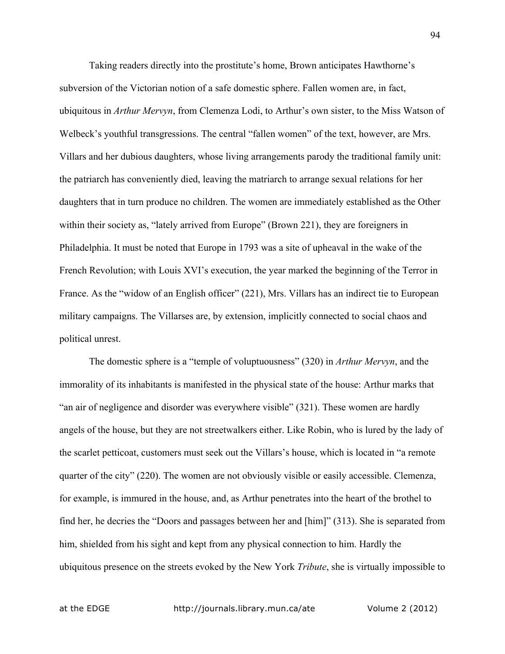Taking readers directly into the prostitute's home, Brown anticipates Hawthorne's subversion of the Victorian notion of a safe domestic sphere. Fallen women are, in fact, ubiquitous in *Arthur Mervyn*, from Clemenza Lodi, to Arthur's own sister, to the Miss Watson of Welbeck's youthful transgressions. The central "fallen women" of the text, however, are Mrs. Villars and her dubious daughters, whose living arrangements parody the traditional family unit: the patriarch has conveniently died, leaving the matriarch to arrange sexual relations for her daughters that in turn produce no children. The women are immediately established as the Other within their society as, "lately arrived from Europe" (Brown 221), they are foreigners in Philadelphia. It must be noted that Europe in 1793 was a site of upheaval in the wake of the French Revolution; with Louis XVI's execution, the year marked the beginning of the Terror in France. As the "widow of an English officer" (221), Mrs. Villars has an indirect tie to European military campaigns. The Villarses are, by extension, implicitly connected to social chaos and political unrest.

The domestic sphere is a "temple of voluptuousness" (320) in *Arthur Mervyn*, and the immorality of its inhabitants is manifested in the physical state of the house: Arthur marks that "an air of negligence and disorder was everywhere visible" (321). These women are hardly angels of the house, but they are not streetwalkers either. Like Robin, who is lured by the lady of the scarlet petticoat, customers must seek out the Villars's house, which is located in "a remote quarter of the city" (220). The women are not obviously visible or easily accessible. Clemenza, for example, is immured in the house, and, as Arthur penetrates into the heart of the brothel to find her, he decries the "Doors and passages between her and [him]" (313). She is separated from him, shielded from his sight and kept from any physical connection to him. Hardly the ubiquitous presence on the streets evoked by the New York *Tribute*, she is virtually impossible to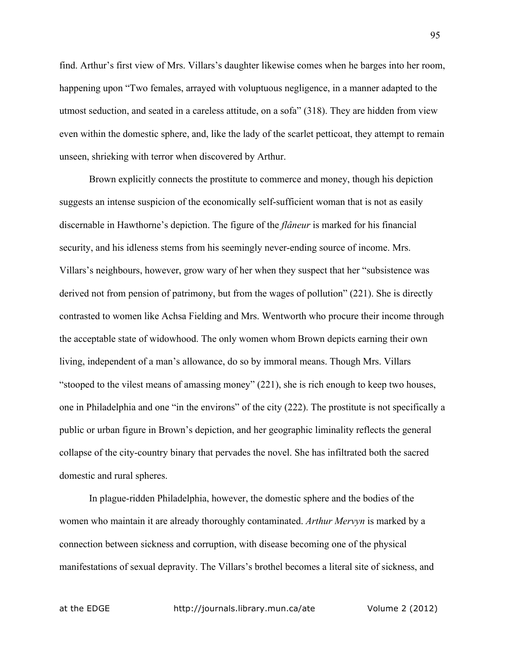find. Arthur's first view of Mrs. Villars's daughter likewise comes when he barges into her room, happening upon "Two females, arrayed with voluptuous negligence, in a manner adapted to the utmost seduction, and seated in a careless attitude, on a sofa" (318). They are hidden from view even within the domestic sphere, and, like the lady of the scarlet petticoat, they attempt to remain unseen, shrieking with terror when discovered by Arthur.

Brown explicitly connects the prostitute to commerce and money, though his depiction suggests an intense suspicion of the economically self-sufficient woman that is not as easily discernable in Hawthorne's depiction. The figure of the *flâneur* is marked for his financial security, and his idleness stems from his seemingly never-ending source of income. Mrs. Villars's neighbours, however, grow wary of her when they suspect that her "subsistence was derived not from pension of patrimony, but from the wages of pollution" (221). She is directly contrasted to women like Achsa Fielding and Mrs. Wentworth who procure their income through the acceptable state of widowhood. The only women whom Brown depicts earning their own living, independent of a man's allowance, do so by immoral means. Though Mrs. Villars "stooped to the vilest means of amassing money" (221), she is rich enough to keep two houses, one in Philadelphia and one "in the environs" of the city (222). The prostitute is not specifically a public or urban figure in Brown's depiction, and her geographic liminality reflects the general collapse of the city-country binary that pervades the novel. She has infiltrated both the sacred domestic and rural spheres.

In plague-ridden Philadelphia, however, the domestic sphere and the bodies of the women who maintain it are already thoroughly contaminated. *Arthur Mervyn* is marked by a connection between sickness and corruption, with disease becoming one of the physical manifestations of sexual depravity. The Villars's brothel becomes a literal site of sickness, and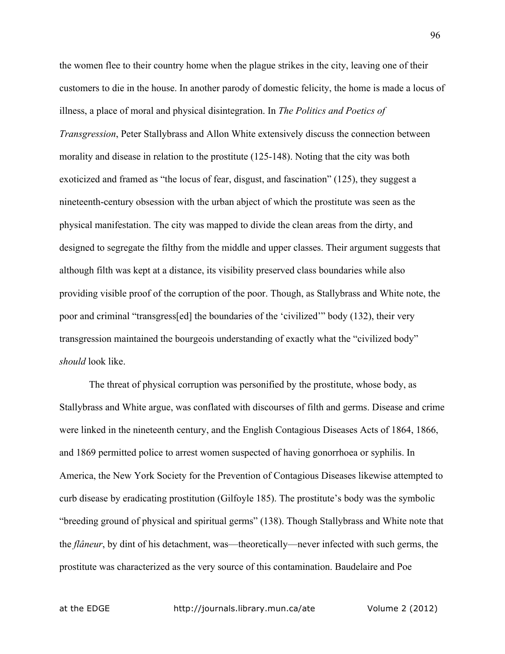the women flee to their country home when the plague strikes in the city, leaving one of their customers to die in the house. In another parody of domestic felicity, the home is made a locus of illness, a place of moral and physical disintegration. In *The Politics and Poetics of Transgression*, Peter Stallybrass and Allon White extensively discuss the connection between morality and disease in relation to the prostitute (125-148). Noting that the city was both exoticized and framed as "the locus of fear, disgust, and fascination" (125), they suggest a nineteenth-century obsession with the urban abject of which the prostitute was seen as the physical manifestation. The city was mapped to divide the clean areas from the dirty, and designed to segregate the filthy from the middle and upper classes. Their argument suggests that although filth was kept at a distance, its visibility preserved class boundaries while also providing visible proof of the corruption of the poor. Though, as Stallybrass and White note, the poor and criminal "transgress[ed] the boundaries of the 'civilized'" body (132), their very transgression maintained the bourgeois understanding of exactly what the "civilized body" *should* look like.

The threat of physical corruption was personified by the prostitute, whose body, as Stallybrass and White argue, was conflated with discourses of filth and germs. Disease and crime were linked in the nineteenth century, and the English Contagious Diseases Acts of 1864, 1866, and 1869 permitted police to arrest women suspected of having gonorrhoea or syphilis. In America, the New York Society for the Prevention of Contagious Diseases likewise attempted to curb disease by eradicating prostitution (Gilfoyle 185). The prostitute's body was the symbolic "breeding ground of physical and spiritual germs" (138). Though Stallybrass and White note that the *flâneur*, by dint of his detachment, was—theoretically—never infected with such germs, the prostitute was characterized as the very source of this contamination. Baudelaire and Poe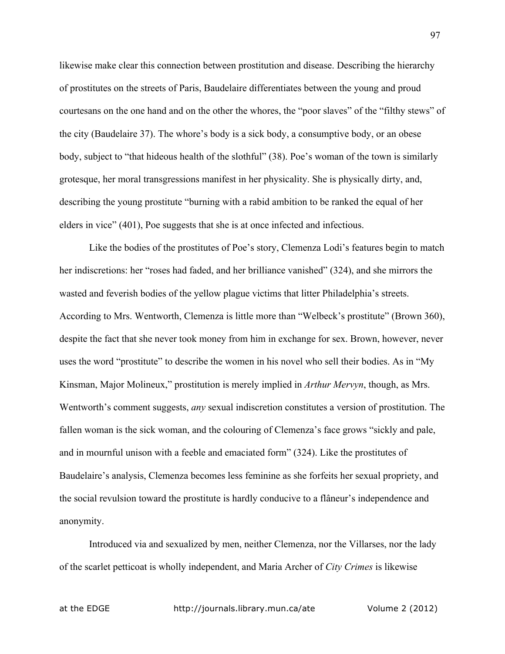likewise make clear this connection between prostitution and disease. Describing the hierarchy of prostitutes on the streets of Paris, Baudelaire differentiates between the young and proud courtesans on the one hand and on the other the whores, the "poor slaves" of the "filthy stews" of the city (Baudelaire 37). The whore's body is a sick body, a consumptive body, or an obese body, subject to "that hideous health of the slothful" (38). Poe's woman of the town is similarly grotesque, her moral transgressions manifest in her physicality. She is physically dirty, and, describing the young prostitute "burning with a rabid ambition to be ranked the equal of her elders in vice" (401), Poe suggests that she is at once infected and infectious.

Like the bodies of the prostitutes of Poe's story, Clemenza Lodi's features begin to match her indiscretions: her "roses had faded, and her brilliance vanished" (324), and she mirrors the wasted and feverish bodies of the yellow plague victims that litter Philadelphia's streets. According to Mrs. Wentworth, Clemenza is little more than "Welbeck's prostitute" (Brown 360), despite the fact that she never took money from him in exchange for sex. Brown, however, never uses the word "prostitute" to describe the women in his novel who sell their bodies. As in "My Kinsman, Major Molineux," prostitution is merely implied in *Arthur Mervyn*, though, as Mrs. Wentworth's comment suggests, *any* sexual indiscretion constitutes a version of prostitution. The fallen woman is the sick woman, and the colouring of Clemenza's face grows "sickly and pale, and in mournful unison with a feeble and emaciated form" (324). Like the prostitutes of Baudelaire's analysis, Clemenza becomes less feminine as she forfeits her sexual propriety, and the social revulsion toward the prostitute is hardly conducive to a flâneur's independence and anonymity.

Introduced via and sexualized by men, neither Clemenza, nor the Villarses, nor the lady of the scarlet petticoat is wholly independent, and Maria Archer of *City Crimes* is likewise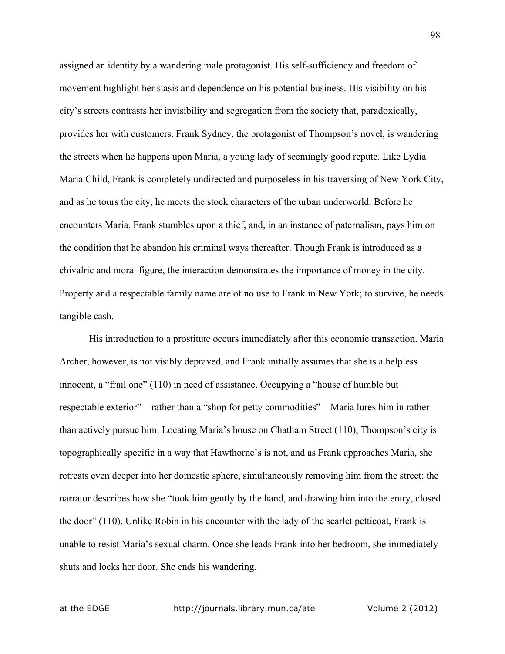assigned an identity by a wandering male protagonist. His self-sufficiency and freedom of movement highlight her stasis and dependence on his potential business. His visibility on his city's streets contrasts her invisibility and segregation from the society that, paradoxically, provides her with customers. Frank Sydney, the protagonist of Thompson's novel, is wandering the streets when he happens upon Maria, a young lady of seemingly good repute. Like Lydia Maria Child, Frank is completely undirected and purposeless in his traversing of New York City, and as he tours the city, he meets the stock characters of the urban underworld. Before he encounters Maria, Frank stumbles upon a thief, and, in an instance of paternalism, pays him on the condition that he abandon his criminal ways thereafter. Though Frank is introduced as a chivalric and moral figure, the interaction demonstrates the importance of money in the city. Property and a respectable family name are of no use to Frank in New York; to survive, he needs tangible cash.

His introduction to a prostitute occurs immediately after this economic transaction. Maria Archer, however, is not visibly depraved, and Frank initially assumes that she is a helpless innocent, a "frail one" (110) in need of assistance. Occupying a "house of humble but respectable exterior"—rather than a "shop for petty commodities"—Maria lures him in rather than actively pursue him. Locating Maria's house on Chatham Street (110), Thompson's city is topographically specific in a way that Hawthorne's is not, and as Frank approaches Maria, she retreats even deeper into her domestic sphere, simultaneously removing him from the street: the narrator describes how she "took him gently by the hand, and drawing him into the entry, closed the door" (110). Unlike Robin in his encounter with the lady of the scarlet petticoat, Frank is unable to resist Maria's sexual charm. Once she leads Frank into her bedroom, she immediately shuts and locks her door. She ends his wandering.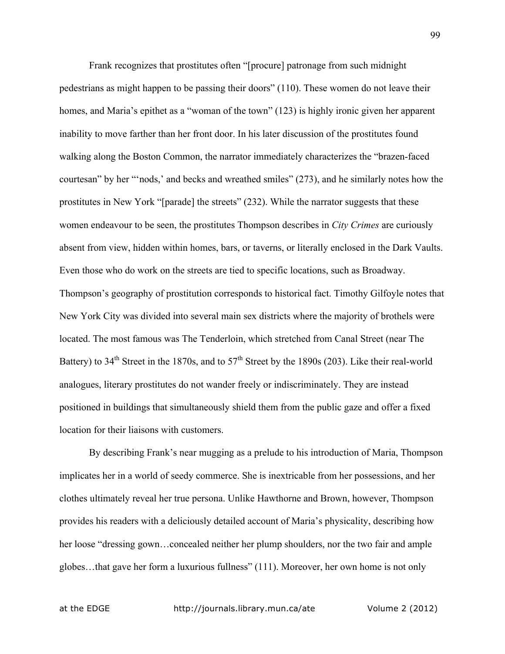Frank recognizes that prostitutes often "[procure] patronage from such midnight pedestrians as might happen to be passing their doors" (110). These women do not leave their homes, and Maria's epithet as a "woman of the town" (123) is highly ironic given her apparent inability to move farther than her front door. In his later discussion of the prostitutes found walking along the Boston Common, the narrator immediately characterizes the "brazen-faced courtesan" by her "'nods,' and becks and wreathed smiles" (273), and he similarly notes how the prostitutes in New York "[parade] the streets" (232). While the narrator suggests that these women endeavour to be seen, the prostitutes Thompson describes in *City Crimes* are curiously absent from view, hidden within homes, bars, or taverns, or literally enclosed in the Dark Vaults. Even those who do work on the streets are tied to specific locations, such as Broadway. Thompson's geography of prostitution corresponds to historical fact. Timothy Gilfoyle notes that New York City was divided into several main sex districts where the majority of brothels were located. The most famous was The Tenderloin, which stretched from Canal Street (near The Battery) to  $34<sup>th</sup>$  Street in the 1870s, and to  $57<sup>th</sup>$  Street by the 1890s (203). Like their real-world analogues, literary prostitutes do not wander freely or indiscriminately. They are instead positioned in buildings that simultaneously shield them from the public gaze and offer a fixed location for their liaisons with customers.

By describing Frank's near mugging as a prelude to his introduction of Maria, Thompson implicates her in a world of seedy commerce. She is inextricable from her possessions, and her clothes ultimately reveal her true persona. Unlike Hawthorne and Brown, however, Thompson provides his readers with a deliciously detailed account of Maria's physicality, describing how her loose "dressing gown…concealed neither her plump shoulders, nor the two fair and ample globes…that gave her form a luxurious fullness" (111). Moreover, her own home is not only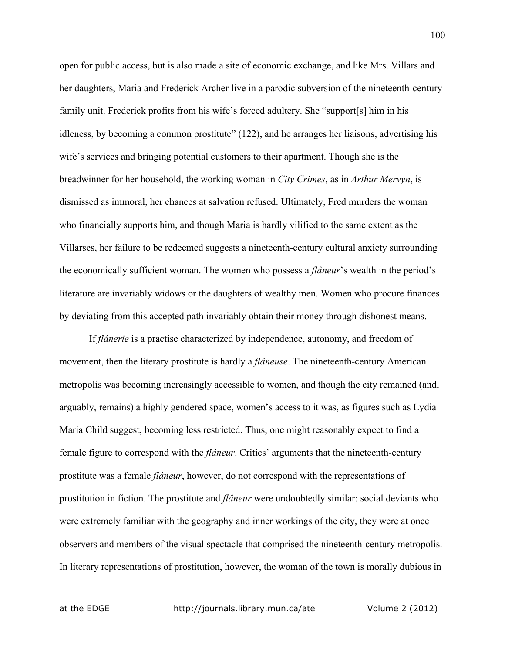open for public access, but is also made a site of economic exchange, and like Mrs. Villars and her daughters, Maria and Frederick Archer live in a parodic subversion of the nineteenth-century family unit. Frederick profits from his wife's forced adultery. She "support[s] him in his idleness, by becoming a common prostitute" (122), and he arranges her liaisons, advertising his wife's services and bringing potential customers to their apartment. Though she is the breadwinner for her household, the working woman in *City Crimes*, as in *Arthur Mervyn*, is dismissed as immoral, her chances at salvation refused. Ultimately, Fred murders the woman who financially supports him, and though Maria is hardly vilified to the same extent as the Villarses, her failure to be redeemed suggests a nineteenth-century cultural anxiety surrounding the economically sufficient woman. The women who possess a *flâneur*'s wealth in the period's literature are invariably widows or the daughters of wealthy men. Women who procure finances by deviating from this accepted path invariably obtain their money through dishonest means.

If *flânerie* is a practise characterized by independence, autonomy, and freedom of movement, then the literary prostitute is hardly a *flâneuse*. The nineteenth-century American metropolis was becoming increasingly accessible to women, and though the city remained (and, arguably, remains) a highly gendered space, women's access to it was, as figures such as Lydia Maria Child suggest, becoming less restricted. Thus, one might reasonably expect to find a female figure to correspond with the *flâneur*. Critics' arguments that the nineteenth-century prostitute was a female *flâneur*, however, do not correspond with the representations of prostitution in fiction. The prostitute and *flâneur* were undoubtedly similar: social deviants who were extremely familiar with the geography and inner workings of the city, they were at once observers and members of the visual spectacle that comprised the nineteenth-century metropolis. In literary representations of prostitution, however, the woman of the town is morally dubious in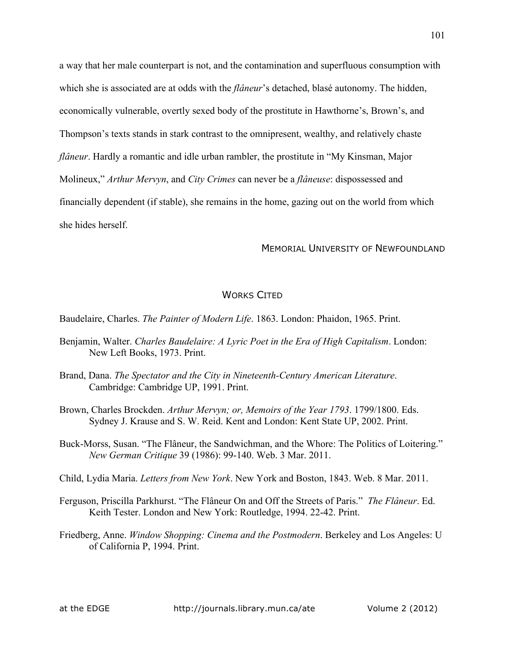a way that her male counterpart is not, and the contamination and superfluous consumption with which she is associated are at odds with the *flâneur*'s detached, blasé autonomy. The hidden, economically vulnerable, overtly sexed body of the prostitute in Hawthorne's, Brown's, and Thompson's texts stands in stark contrast to the omnipresent, wealthy, and relatively chaste *flâneur*. Hardly a romantic and idle urban rambler, the prostitute in "My Kinsman, Major Molineux," *Arthur Mervyn*, and *City Crimes* can never be a *flâneuse*: dispossessed and financially dependent (if stable), she remains in the home, gazing out on the world from which she hides herself.

## MEMORIAL UNIVERSITY OF NEWFOUNDLAND

## WORKS CITED

Baudelaire, Charles. *The Painter of Modern Life*. 1863. London: Phaidon, 1965. Print.

- Benjamin, Walter. *Charles Baudelaire: A Lyric Poet in the Era of High Capitalism*. London: New Left Books, 1973. Print.
- Brand, Dana. *The Spectator and the City in Nineteenth-Century American Literature*. Cambridge: Cambridge UP, 1991. Print.
- Brown, Charles Brockden. *Arthur Mervyn; or, Memoirs of the Year 1793*. 1799/1800. Eds. Sydney J. Krause and S. W. Reid. Kent and London: Kent State UP, 2002. Print.
- Buck-Morss, Susan. "The Flâneur, the Sandwichman, and the Whore: The Politics of Loitering." *New German Critique* 39 (1986): 99-140. Web. 3 Mar. 2011.
- Child, Lydia Maria. *Letters from New York*. New York and Boston, 1843. Web. 8 Mar. 2011.
- Ferguson, Priscilla Parkhurst. "The Flâneur On and Off the Streets of Paris." *The Flâneur*. Ed. Keith Tester. London and New York: Routledge, 1994. 22-42. Print.
- Friedberg, Anne. *Window Shopping: Cinema and the Postmodern*. Berkeley and Los Angeles: U of California P, 1994. Print.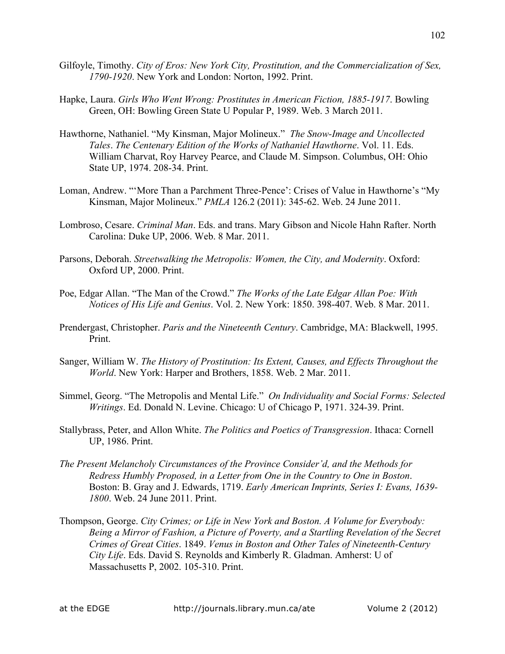- Gilfoyle, Timothy. *City of Eros: New York City, Prostitution, and the Commercialization of Sex, 1790-1920*. New York and London: Norton, 1992. Print.
- Hapke, Laura. *Girls Who Went Wrong: Prostitutes in American Fiction, 1885-1917*. Bowling Green, OH: Bowling Green State U Popular P, 1989. Web. 3 March 2011.
- Hawthorne, Nathaniel. "My Kinsman, Major Molineux." *The Snow-Image and Uncollected Tales*. *The Centenary Edition of the Works of Nathaniel Hawthorne*. Vol. 11. Eds. William Charvat, Roy Harvey Pearce, and Claude M. Simpson. Columbus, OH: Ohio State UP, 1974. 208-34. Print.
- Loman, Andrew. "'More Than a Parchment Three-Pence': Crises of Value in Hawthorne's "My Kinsman, Major Molineux." *PMLA* 126.2 (2011): 345-62. Web. 24 June 2011.
- Lombroso, Cesare. *Criminal Man*. Eds. and trans. Mary Gibson and Nicole Hahn Rafter. North Carolina: Duke UP, 2006. Web. 8 Mar. 2011.
- Parsons, Deborah. *Streetwalking the Metropolis: Women, the City, and Modernity*. Oxford: Oxford UP, 2000. Print.
- Poe, Edgar Allan. "The Man of the Crowd." *The Works of the Late Edgar Allan Poe: With Notices of His Life and Genius*. Vol. 2. New York: 1850. 398-407. Web. 8 Mar. 2011.
- Prendergast, Christopher. *Paris and the Nineteenth Century*. Cambridge, MA: Blackwell, 1995. Print.
- Sanger, William W. *The History of Prostitution: Its Extent, Causes, and Effects Throughout the World*. New York: Harper and Brothers, 1858. Web. 2 Mar. 2011.
- Simmel, Georg. "The Metropolis and Mental Life." *On Individuality and Social Forms: Selected Writings*. Ed. Donald N. Levine. Chicago: U of Chicago P, 1971. 324-39. Print.
- Stallybrass, Peter, and Allon White. *The Politics and Poetics of Transgression*. Ithaca: Cornell UP, 1986. Print.
- *The Present Melancholy Circumstances of the Province Consider'd, and the Methods for Redress Humbly Proposed, in a Letter from One in the Country to One in Boston*. Boston: B. Gray and J. Edwards, 1719. *Early American Imprints, Series I: Evans, 1639- 1800*. Web. 24 June 2011. Print.
- Thompson, George. *City Crimes; or Life in New York and Boston. A Volume for Everybody: Being a Mirror of Fashion, a Picture of Poverty, and a Startling Revelation of the Secret Crimes of Great Cities*. 1849. *Venus in Boston and Other Tales of Nineteenth-Century City Life*. Eds. David S. Reynolds and Kimberly R. Gladman. Amherst: U of Massachusetts P, 2002. 105-310. Print.